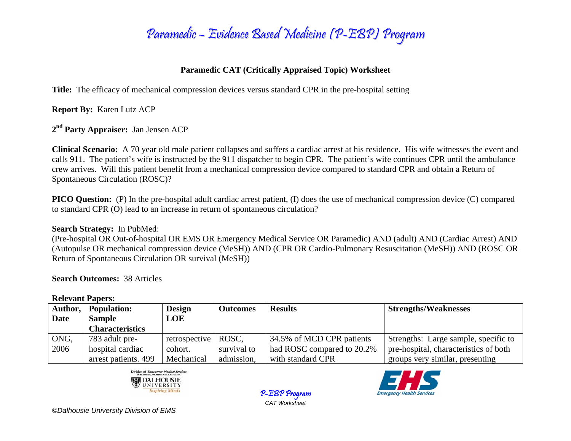

## **Paramedic CAT (Critically Appraised Topic) Worksheet**

**Title:** The efficacy of mechanical compression devices versus standard CPR in the pre-hospital setting

**Report By:** Karen Lutz ACP

**<sup>2</sup>nd Party Appraiser:** Jan Jensen ACP

**Clinical Scenario:** A 70 year old male patient collapses and suffers a cardiac arrest at his residence. His wife witnesses the event and calls 911. The patient's wife is instructed by the 911 dispatcher to begin CPR. The patient's wife continues CPR until the ambulance crew arrives. Will this patient benefit from a mechanical compression device compared to standard CPR and obtain a Return of Spontaneous Circulation (ROSC)?

**PICO Question:** (P) In the pre-hospital adult cardiac arrest patient, (I) does the use of mechanical compression device (C) compared to standard CPR (O) lead to an increase in return of spontaneous circulation?

**Search Strategy:** In PubMed:

(Pre-hospital OR Out-of-hospital OR EMS OR Emergency Medical Service OR Paramedic) AND (adult) AND (Cardiac Arrest) AND (Autopulse OR mechanical compression device (MeSH)) AND (CPR OR Cardio-Pulmonary Resuscitation (MeSH)) AND (ROSC OR Return of Spontaneous Circulation OR survival (MeSH))

**Search Outcomes:** 38 Articles

**Relevant Papers:** 

| ACIC TULLE A UDELS. |                        |               |                 |                            |                                       |  |  |  |  |
|---------------------|------------------------|---------------|-----------------|----------------------------|---------------------------------------|--|--|--|--|
| Author,             | <b>Population:</b>     | <b>Design</b> | <b>Outcomes</b> | <b>Results</b>             | <b>Strengths/Weaknesses</b>           |  |  |  |  |
| Date                | <b>Sample</b>          | LOE           |                 |                            |                                       |  |  |  |  |
|                     | <b>Characteristics</b> |               |                 |                            |                                       |  |  |  |  |
| ONG,                | 783 adult pre-         | retrospective | ROSC,           | 34.5% of MCD CPR patients  | Strengths: Large sample, specific to  |  |  |  |  |
| 2006                | hospital cardiac       | cohort.       | survival to     | had ROSC compared to 20.2% | pre-hospital, characteristics of both |  |  |  |  |
|                     | arrest patients. 499   | Mechanical    | admission,      | with standard CPR          | groups very similar, presenting       |  |  |  |  |

P-EBP Program *CAT Worksheet*